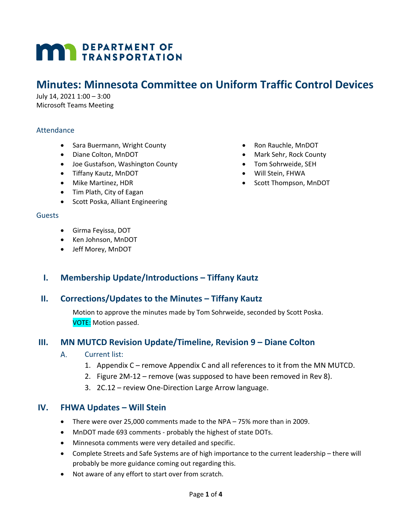# **MAY DEPARTMENT OF TRANSPORTATION**

# **Minutes: Minnesota Committee on Uniform Traffic Control Devices**

July 14, 2021 1:00 – 3:00 Microsoft Teams Meeting

#### Attendance

- Sara Buermann, Wright County
- Diane Colton, MnDOT
- Joe Gustafson, Washington County
- Tiffany Kautz, MnDOT
- Mike Martinez, HDR
- Tim Plath, City of Eagan
- Scott Poska, Alliant Engineering

#### **Guests**

- Girma Feyissa, DOT
- Ken Johnson, MnDOT
- Jeff Morey, MnDOT

## **I. Membership Update/Introductions – Tiffany Kautz**

#### **II. Corrections/Updates to the Minutes – Tiffany Kautz**

Motion to approve the minutes made by Tom Sohrweide, seconded by Scott Poska. VOTE: Motion passed.

## **III. MN MUTCD Revision Update/Timeline, Revision 9 – Diane Colton**

- A. Current list:
	- 1. Appendix C remove Appendix C and all references to it from the MN MUTCD.
	- 2. Figure 2M-12 remove (was supposed to have been removed in Rev 8).
	- 3. 2C.12 review One-Direction Large Arrow language.

#### **IV. FHWA Updates – Will Stein**

- There were over 25,000 comments made to the NPA 75% more than in 2009.
- MnDOT made 693 comments probably the highest of state DOTs.
- Minnesota comments were very detailed and specific.
- Complete Streets and Safe Systems are of high importance to the current leadership there will probably be more guidance coming out regarding this.
- Not aware of any effort to start over from scratch.
- Ron Rauchle, MnDOT
- Mark Sehr, Rock County
- Tom Sohrweide, SEH
- Will Stein, FHWA
- Scott Thompson, MnDOT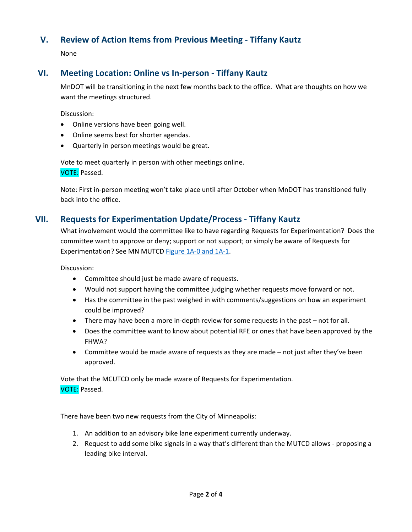# **V. Review of Action Items from Previous Meeting - Tiffany Kautz**

None

# **VI. Meeting Location: Online vs In-person - Tiffany Kautz**

MnDOT will be transitioning in the next few months back to the office. What are thoughts on how we want the meetings structured.

Discussion:

- Online versions have been going well.
- Online seems best for shorter agendas.
- Quarterly in person meetings would be great.

Vote to meet quarterly in person with other meetings online. VOTE: Passed.

Note: First in-person meeting won't take place until after October when MnDOT has transitioned fully back into the office.

#### **VII. Requests for Experimentation Update/Process - Tiffany Kautz**

What involvement would the committee like to have regarding Requests for Experimentation? Does the committee want to approve or deny; support or not support; or simply be aware of Requests for Experimentation? See MN MUTCD [Figure 1A-0 and 1A-1.](https://www.dot.state.mn.us/trafficeng/publ/mutcd/mnmutcd2020/mnmutcd-1.pdf)

Discussion:

- Committee should just be made aware of requests.
- Would not support having the committee judging whether requests move forward or not.
- Has the committee in the past weighed in with comments/suggestions on how an experiment could be improved?
- There may have been a more in-depth review for some requests in the past not for all.
- Does the committee want to know about potential RFE or ones that have been approved by the FHWA?
- Committee would be made aware of requests as they are made not just after they've been approved.

Vote that the MCUTCD only be made aware of Requests for Experimentation. VOTE: Passed.

There have been two new requests from the City of Minneapolis:

- 1. An addition to an advisory bike lane experiment currently underway.
- 2. Request to add some bike signals in a way that's different than the MUTCD allows proposing a leading bike interval.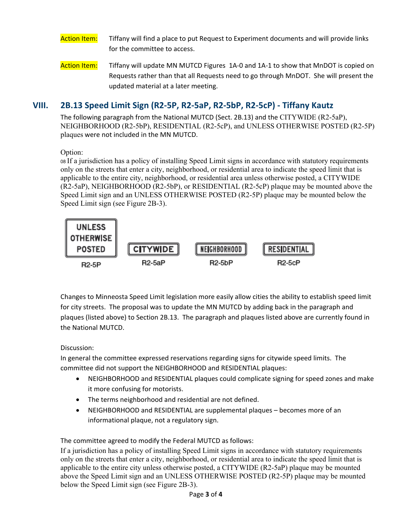#### Action Item: Tiffany will find a place to put Request to Experiment documents and will provide links for the committee to access.

Action Item: Tiffany will update MN MUTCD [Figures 1A-0 and 1A-1](https://www.dot.state.mn.us/trafficeng/publ/mutcd/mnmutcd2020/mnmutcd-1.pdf) to show that MnDOT is copied on Requests rather than that all Requests need to go through MnDOT. She will present the updated material at a later meeting.

# **VIII. 2B.13 Speed Limit Sign (R2-5P, R2-5aP, R2-5bP, R2-5cP) - Tiffany Kautz**

The following paragraph from the National MUTCD (Sect. 2B.13) and the CITYWIDE (R2-5aP), NEIGHBORHOOD (R2-5bP), RESIDENTIAL (R2-5cP), and UNLESS OTHERWISE POSTED (R2-5P) plaques were not included in the MN MUTCD.

#### Option:

<sup>08</sup>If a jurisdiction has a policy of installing Speed Limit signs in accordance with statutory requirements only on the streets that enter a city, neighborhood, or residential area to indicate the speed limit that is applicable to the entire city, neighborhood, or residential area unless otherwise posted, a CITYWIDE (R2-5aP), NEIGHBORHOOD (R2-5bP), or RESIDENTIAL (R2-5cP) plaque may be mounted above the Speed Limit sign and an UNLESS OTHERWISE POSTED (R2-5P) plaque may be mounted below the Speed Limit sign (see Figure 2B-3).



Changes to Minneosta Speed Limit legislation more easily allow cities the ability to establish speed limit for city streets. The proposal was to update the MN MUTCD by adding back in the paragraph and plaques (listed above) to Section 2B.13. The paragraph and plaques listed above are currently found in the National MUTCD.

#### Discussion:

In general the committee expressed reservations regarding signs for citywide speed limits. The committee did not support the NEIGHBORHOOD and RESIDENTIAL plaques:

- NEIGHBORHOOD and RESIDENTIAL plaques could complicate signing for speed zones and make it more confusing for motorists.
- The terms neighborhood and residential are not defined.
- NEIGHBORHOOD and RESIDENTIAL are supplemental plaques becomes more of an informational plaque, not a regulatory sign.

The committee agreed to modify the Federal MUTCD as follows:

If a jurisdiction has a policy of installing Speed Limit signs in accordance with statutory requirements only on the streets that enter a city, neighborhood, or residential area to indicate the speed limit that is applicable to the entire city unless otherwise posted, a CITYWIDE (R2-5aP) plaque may be mounted above the Speed Limit sign and an UNLESS OTHERWISE POSTED (R2-5P) plaque may be mounted below the Speed Limit sign (see Figure 2B-3).